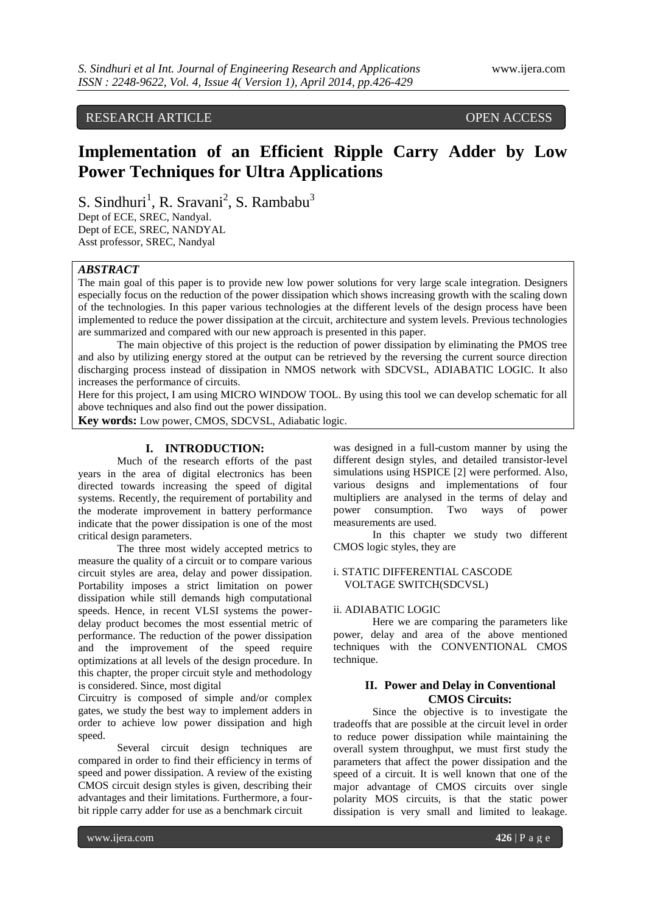# RESEARCH ARTICLE OPEN ACCESS

# **Implementation of an Efficient Ripple Carry Adder by Low Power Techniques for Ultra Applications**

S. Sindhuri<sup>1</sup>, R. Sravani<sup>2</sup>, S. Rambabu<sup>3</sup>

Dept of ECE, SREC, Nandyal. Dept of ECE, SREC, NANDYAL Asst professor, SREC, Nandyal

## *ABSTRACT*

The main goal of this paper is to provide new low power solutions for very large scale integration. Designers especially focus on the reduction of the power dissipation which shows increasing growth with the scaling down of the technologies. In this paper various technologies at the different levels of the design process have been implemented to reduce the power dissipation at the circuit, architecture and system levels. Previous technologies are summarized and compared with our new approach is presented in this paper.

The main objective of this project is the reduction of power dissipation by eliminating the PMOS tree and also by utilizing energy stored at the output can be retrieved by the reversing the current source direction discharging process instead of dissipation in NMOS network with SDCVSL, ADIABATIC LOGIC. It also increases the performance of circuits.

Here for this project, I am using MICRO WINDOW TOOL. By using this tool we can develop schematic for all above techniques and also find out the power dissipation.

**Key words:** Low power, CMOS, SDCVSL, Adiabatic logic.

## **I. INTRODUCTION:**

Much of the research efforts of the past years in the area of digital electronics has been directed towards increasing the speed of digital systems. Recently, the requirement of portability and the moderate improvement in battery performance indicate that the power dissipation is one of the most critical design parameters.

The three most widely accepted metrics to measure the quality of a circuit or to compare various circuit styles are area, delay and power dissipation. Portability imposes a strict limitation on power dissipation while still demands high computational speeds. Hence, in recent VLSI systems the powerdelay product becomes the most essential metric of performance. The reduction of the power dissipation and the improvement of the speed require optimizations at all levels of the design procedure. In this chapter, the proper circuit style and methodology is considered. Since, most digital

Circuitry is composed of simple and/or complex gates, we study the best way to implement adders in order to achieve low power dissipation and high speed.

Several circuit design techniques are compared in order to find their efficiency in terms of speed and power dissipation. A review of the existing CMOS circuit design styles is given, describing their advantages and their limitations. Furthermore, a fourbit ripple carry adder for use as a benchmark circuit

was designed in a full-custom manner by using the different design styles, and detailed transistor-level simulations using HSPICE [2] were performed. Also, various designs and implementations of four multipliers are analysed in the terms of delay and power consumption. Two ways of power measurements are used.

In this chapter we study two different CMOS logic styles, they are

#### i. STATIC DIFFERENTIAL CASCODE VOLTAGE SWITCH(SDCVSL)

### ii. ADIABATIC LOGIC

Here we are comparing the parameters like power, delay and area of the above mentioned techniques with the CONVENTIONAL CMOS technique.

## **II. Power and Delay in Conventional CMOS Circuits:**

Since the objective is to investigate the tradeoffs that are possible at the circuit level in order to reduce power dissipation while maintaining the overall system throughput, we must first study the parameters that affect the power dissipation and the speed of a circuit. It is well known that one of the major advantage of CMOS circuits over single polarity MOS circuits, is that the static power dissipation is very small and limited to leakage.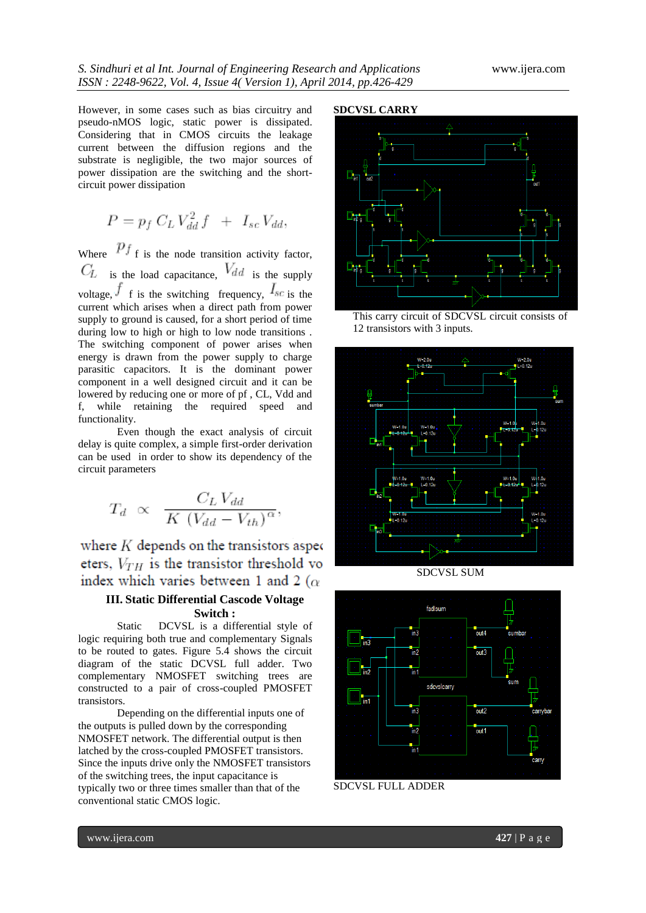However, in some cases such as bias circuitry and pseudo-nMOS logic, static power is dissipated. Considering that in CMOS circuits the leakage current between the diffusion regions and the substrate is negligible, the two major sources of power dissipation are the switching and the shortcircuit power dissipation

$$
P = p_f C_L V_{dd}^2 f + I_{sc} V_{dd},
$$

Where  $P_f$  is the node transition activity factor,  $C_L$  is the load capacitance,  $V_{dd}$  is the supply voltage,  $f$  f is the switching frequency,  $I_{sc}$  is the current which arises when a direct path from power supply to ground is caused, for a short period of time during low to high or high to low node transitions . The switching component of power arises when energy is drawn from the power supply to charge parasitic capacitors. It is the dominant power component in a well designed circuit and it can be lowered by reducing one or more of pf , CL, Vdd and f, while retaining the required speed and functionality.

Even though the exact analysis of circuit delay is quite complex, a simple first-order derivation can be used in order to show its dependency of the circuit parameters

$$
T_d \propto \frac{C_L V_{dd}}{K (V_{dd} - V_{th})^{\alpha}}
$$

where  $K$  depends on the transistors aspect eters,  $V_{TH}$  is the transistor threshold vo index which varies between 1 and 2 ( $\alpha$ )

# **III. Static Differential Cascode Voltage Switch :**

Static DCVSL is a differential style of logic requiring both true and complementary Signals to be routed to gates. Figure 5.4 shows the circuit diagram of the static DCVSL full adder. Two complementary NMOSFET switching trees are constructed to a pair of cross-coupled PMOSFET transistors.

Depending on the differential inputs one of the outputs is pulled down by the corresponding NMOSFET network. The differential output is then latched by the cross-coupled PMOSFET transistors. Since the inputs drive only the NMOSFET transistors of the switching trees, the input capacitance is typically two or three times smaller than that of the conventional static CMOS logic.

# **SDCVSL CARRY**



This carry circuit of SDCVSL circuit consists of 12 transistors with 3 inputs.



SDCVSL SUM



SDCVSL FULL ADDER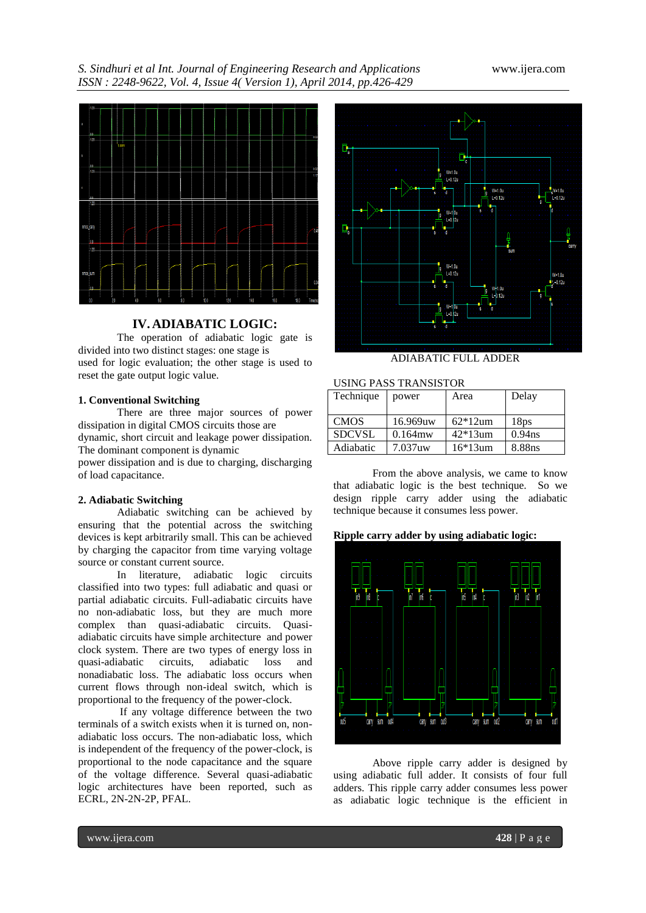*S. Sindhuri et al Int. Journal of Engineering Research and Applications* www.ijera.com *ISSN : 2248-9622, Vol. 4, Issue 4( Version 1), April 2014, pp.426-429*



## **IV.ADIABATIC LOGIC:**

The operation of adiabatic logic gate is divided into two distinct stages: one stage is used for logic evaluation; the other stage is used to reset the gate output logic value.

#### **1. Conventional Switching**

There are three major sources of power dissipation in digital CMOS circuits those are dynamic, short circuit and leakage power dissipation.

The dominant component is dynamic power dissipation and is due to charging, discharging

of load capacitance.

#### **2. Adiabatic Switching**

Adiabatic switching can be achieved by ensuring that the potential across the switching devices is kept arbitrarily small. This can be achieved by charging the capacitor from time varying voltage source or constant current source.

In literature, adiabatic logic circuits classified into two types: full adiabatic and quasi or partial adiabatic circuits. Full-adiabatic circuits have no non-adiabatic loss, but they are much more complex than quasi-adiabatic circuits. Quasiadiabatic circuits have simple architecture and power clock system. There are two types of energy loss in quasi-adiabatic circuits, adiabatic loss and nonadiabatic loss. The adiabatic loss occurs when current flows through non-ideal switch, which is proportional to the frequency of the power-clock.

If any voltage difference between the two terminals of a switch exists when it is turned on, nonadiabatic loss occurs. The non-adiabatic loss, which is independent of the frequency of the power-clock, is proportional to the node capacitance and the square of the voltage difference. Several quasi-adiabatic logic architectures have been reported, such as ECRL, 2N-2N-2P, PFAL.



#### ADIABATIC FULL ADDER

#### USING PASS TRANSISTOR

| Technique     | power      | Area       | Delay              |
|---------------|------------|------------|--------------------|
|               |            |            |                    |
| <b>CMOS</b>   | 16.969uw   | $62*12$ um | 18 <sub>DS</sub>   |
| <b>SDCVSL</b> | $0.164$ mw | $42*13$ um | 0.94 <sub>ns</sub> |
| Adiabatic     | 7.037uw    | $16*13$ um | 8.88ns             |

From the above analysis, we came to know that adiabatic logic is the best technique. So we design ripple carry adder using the adiabatic technique because it consumes less power.

#### **Ripple carry adder by using adiabatic logic:**



Above ripple carry adder is designed by using adiabatic full adder. It consists of four full adders. This ripple carry adder consumes less power as adiabatic logic technique is the efficient in